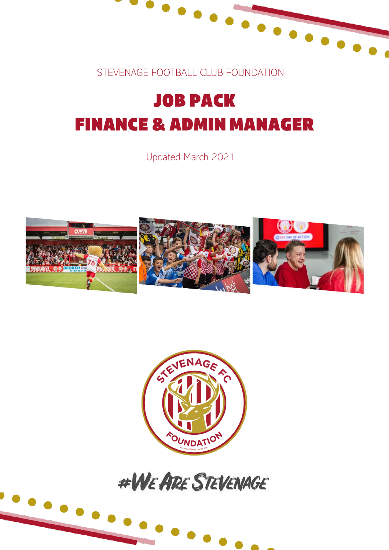

STEVENAGE FOOTBALL CLUB FOUNDATION

## **JOB PACK FINANCE & ADMIN MANAGER**

Updated March 2021







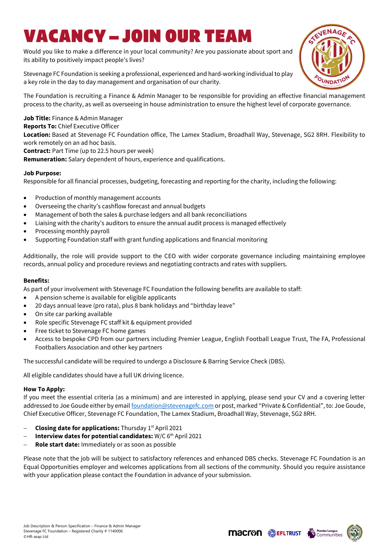### VACANCY – JOIN OUR TEA

Would you like to make a difference in your local community? Are you passionate about sport and its ability to positively impact people's lives?

Stevenage FC Foundation is seeking a professional, experienced and hard-working individual to play a key role in the day to day management and organisation of our charity.

The Foundation is recruiting a Finance & Admin Manager to be responsible for providing an effective financial management process to the charity, as well as overseeing in house administration to ensure the highest level of corporate governance.

**Job Title:** Finance & Admin Manager

**Reports To:** Chief Executive Officer

**Location:** Based at Stevenage FC Foundation office, The Lamex Stadium, Broadhall Way, Stevenage, SG2 8RH. Flexibility to work remotely on an ad hoc basis.

**Contract:** Part Time (up to 22.5 hours per week)

**Remuneration:** Salary dependent of hours, experience and qualifications.

#### **Job Purpose:**

Responsible for all financial processes, budgeting, forecasting and reporting for the charity, including the following:

- Production of monthly management accounts
- Overseeing the charity's cashflow forecast and annual budgets
- Management of both the sales & purchase ledgers and all bank reconciliations
- Liaising with the charity's auditors to ensure the annual audit process is managed effectively
- Processing monthly payroll
- Supporting Foundation staff with grant funding applications and financial monitoring

Additionally, the role will provide support to the CEO with wider corporate governance including maintaining employee records, annual policy and procedure reviews and negotiating contracts and rates with suppliers.

#### **Benefits:**

As part of your involvement with Stevenage FC Foundation the following benefits are available to staff:

- A pension scheme is available for eligible applicants
- 20 days annual leave (pro rata), plus 8 bank holidays and "birthday leave"
- On site car parking available
- Role specific Stevenage FC staff kit & equipment provided
- Free ticket to Stevenage FC home games
- Access to bespoke CPD from our partners including Premier League, English Football League Trust, The FA, Professional Footballers Association and other key partners

The successful candidate will be required to undergo a Disclosure & Barring Service Check (DBS).

All eligible candidates should have a full UK driving licence.

#### **How To Apply:**

If you meet the essential criteria (as a minimum) and are interested in applying, please send your CV and a covering letter addressed to Joe Goude either by email [foundation@stevenagefc.com](mailto:foundation@stevenagefc.com) or post, marked "Private & Confidential", to: Joe Goude, Chief Executive Officer, Stevenage FC Foundation, The Lamex Stadium, Broadhall Way, Stevenage, SG2 8RH.

- − **Closing date for applications:** Thursday 1st April 2021
- **Interview dates for potential candidates: W/C 6<sup>th</sup> April 2021**
- − **Role start date:** Immediately or as soon as possible

Please note that the job will be subject to satisfactory references and enhanced DBS checks. Stevenage FC Foundation is an Equal Opportunities employer and welcomes applications from all sections of the community. Should you require assistance with your application please contact the Foundation in advance of your submission.





**Macron SEFLTRUST**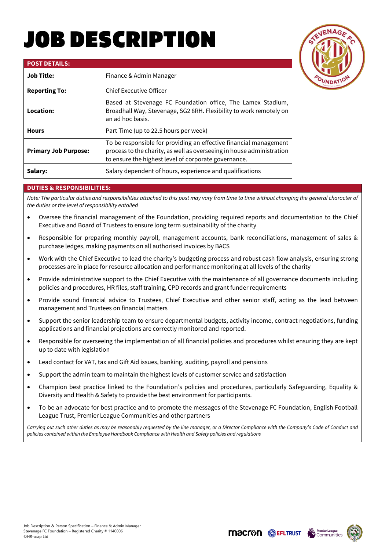# OB DESCRIPTION



| <b>POST DETAILS:</b>        |                                                                                                                                                                                                    |
|-----------------------------|----------------------------------------------------------------------------------------------------------------------------------------------------------------------------------------------------|
| <b>Job Title:</b>           | Finance & Admin Manager                                                                                                                                                                            |
| <b>Reporting To:</b>        | <b>Chief Executive Officer</b>                                                                                                                                                                     |
| Location:                   | Based at Stevenage FC Foundation office, The Lamex Stadium,<br>Broadhall Way, Stevenage, SG2 8RH. Flexibility to work remotely on<br>an ad hoc basis.                                              |
| <b>Hours</b>                | Part Time (up to 22.5 hours per week)                                                                                                                                                              |
| <b>Primary Job Purpose:</b> | To be responsible for providing an effective financial management<br>process to the charity, as well as overseeing in house administration<br>to ensure the highest level of corporate governance. |
| Salary:                     | Salary dependent of hours, experience and qualifications                                                                                                                                           |

#### **DUTIES & RESPONSIBILITIES:**

*Note: The particular duties and responsibilities attached to this post may vary from time to time without changing the general character of the duties or the level of responsibility entailed*

- Oversee the financial management of the Foundation, providing required reports and documentation to the Chief Executive and Board of Trustees to ensure long term sustainability of the charity
- Responsible for preparing monthly payroll, management accounts, bank reconciliations, management of sales & purchase ledges, making payments on all authorised invoices by BACS
- Work with the Chief Executive to lead the charity's budgeting process and robust cash flow analysis, ensuring strong processes are in place for resource allocation and performance monitoring at all levels of the charity
- Provide administrative support to the Chief Executive with the maintenance of all governance documents including policies and procedures, HR files, staff training, CPD records and grant funder requirements
- Provide sound financial advice to Trustees, Chief Executive and other senior staff, acting as the lead between management and Trustees on financial matters
- Support the senior leadership team to ensure departmental budgets, activity income, contract negotiations, funding applications and financial projections are correctly monitored and reported.
- Responsible for overseeing the implementation of all financial policies and procedures whilst ensuring they are kept up to date with legislation
- Lead contact for VAT, tax and Gift Aid issues, banking, auditing, payroll and pensions
- Support the admin team to maintain the highest levels of customer service and satisfaction
- Champion best practice linked to the Foundation's policies and procedures, particularly Safeguarding, Equality & Diversity and Health & Safety to provide the best environment for participants.
- To be an advocate for best practice and to promote the messages of the Stevenage FC Foundation, English Football League Trust, Premier League Communities and other partners

*Carrying out such other duties as may be reasonably requested by the line manager, or a Director Compliance with the Company's Code of Conduct and policies contained within the Employee Handbook Compliance with Health and Safety policies and regulations* 



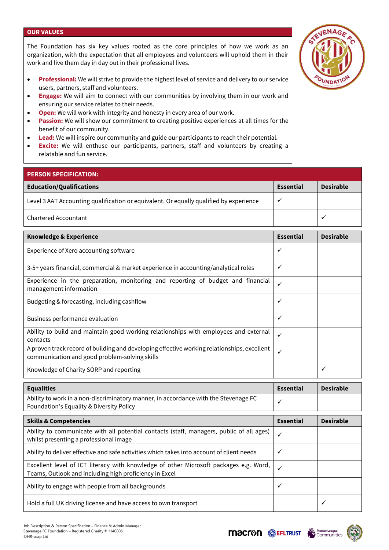#### **OUR VALUES**

The Foundation has six key values rooted as the core principles of how we work as an organization, with the expectation that all employees and volunteers will uphold them in their work and live them day in day out in their professional lives.

- **Professional:** We will strive to provide the highest level of service and delivery to our service users, partners, staff and volunteers.
- **Engage:** We will aim to connect with our communities by involving them in our work and ensuring our service relates to their needs.
- **Open:** We will work with integrity and honesty in every area of our work.
- **Passion:** We will show our commitment to creating positive experiences at all times for the benefit of our community.
- **Lead:** We will inspire our community and guide our participants to reach their potential.
- **Excite:** We will enthuse our participants, partners, staff and volunteers by creating a relatable and fun service.

| <b>PERSON SPECIFICATION:</b>                                                           |                  |                  |
|----------------------------------------------------------------------------------------|------------------|------------------|
| <b>Education/Qualifications</b>                                                        | <b>Essential</b> | <b>Desirable</b> |
| Level 3 AAT Accounting qualification or equivalent. Or equally qualified by experience | ٧                |                  |
| <b>Chartered Accountant</b>                                                            |                  | ◡                |
|                                                                                        |                  |                  |
|                                                                                        |                  |                  |

| <b>Knowledge &amp; Experience</b>                                                                                                            | <b>Essential</b> | <b>Desirable</b> |
|----------------------------------------------------------------------------------------------------------------------------------------------|------------------|------------------|
| Experience of Xero accounting software                                                                                                       |                  |                  |
| 3-5+ years financial, commercial & market experience in accounting/analytical roles                                                          |                  |                  |
| Experience in the preparation, monitoring and reporting of budget and financial<br>management information                                    |                  |                  |
| Budgeting & forecasting, including cashflow                                                                                                  | $\checkmark$     |                  |
| Business performance evaluation                                                                                                              | $\checkmark$     |                  |
| Ability to build and maintain good working relationships with employees and external<br>contacts                                             | $\checkmark$     |                  |
| A proven track record of building and developing effective working relationships, excellent<br>communication and good problem-solving skills |                  |                  |
| Knowledge of Charity SORP and reporting                                                                                                      |                  | ✓                |

| <b>Equalities</b>                                                                                                                               |                  | <b>Desirable</b> |
|-------------------------------------------------------------------------------------------------------------------------------------------------|------------------|------------------|
| Ability to work in a non-discriminatory manner, in accordance with the Stevenage FC<br>Foundation's Equality & Diversity Policy                 |                  |                  |
|                                                                                                                                                 |                  |                  |
| <b>Skills &amp; Competencies</b>                                                                                                                | <b>Essential</b> | <b>Desirable</b> |
| Ability to communicate with all potential contacts (staff, managers, public of all ages)<br>whilst presenting a professional image              | $\checkmark$     |                  |
| Ability to deliver effective and safe activities which takes into account of client needs                                                       | $\checkmark$     |                  |
| Excellent level of ICT literacy with knowledge of other Microsoft packages e.g. Word,<br>Teams, Outlook and including high proficiency in Excel |                  |                  |
| Ability to engage with people from all backgrounds                                                                                              | ✓                |                  |
| Hold a full UK driving license and have access to own transport                                                                                 |                  | $\checkmark$     |